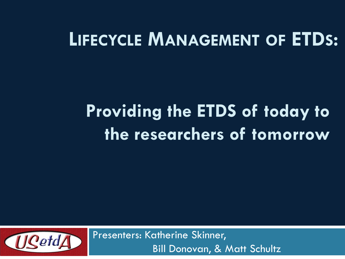### **LIFECYCLE MANAGEMENT OF ETDS:**

# **Providing the ETDS of today to the researchers of tomorrow**



Presenters: Katherine Skinner, Bill Donovan, & Matt Schultz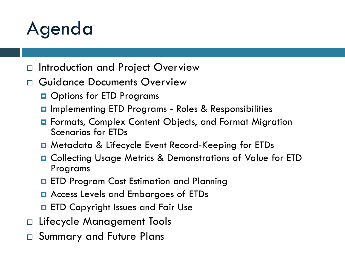### Agenda

- $\Box$  Introduction and Project Overview
- Guidance Documents Overview
	- **Options for ETD Programs**
	- Implementing ETD Programs Roles & Responsibilities
	- **E** Formats, Complex Content Objects, and Format Migration Scenarios for ETDs
	- Metadata & Lifecycle Event Record-Keeping for ETDs
	- Collecting Usage Metrics & Demonstrations of Value for ETD Programs
	- **ETD Program Cost Estimation and Planning**
	- **□** Access Levels and Embargoes of ETDs
	- **ETD Copyright Issues and Fair Use**
- □ Lifecycle Management Tools
- □ Summary and Future Plans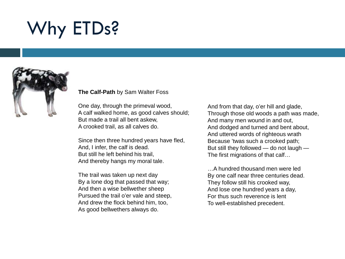# Why ETDs?



#### **The Calf-Path** by Sam Walter Foss

One day, through the primeval wood, A calf walked home, as good calves should; But made a trail all bent askew, A crooked trail, as all calves do.

Since then three hundred years have fled, And, I infer, the calf is dead. But still he left behind his trail, And thereby hangs my moral tale.

The trail was taken up next day By a lone dog that passed that way; And then a wise bellwether sheep Pursued the trail o'er vale and steep, And drew the flock behind him, too, As good bellwethers always do.

And from that day, o'er hill and glade, Through those old woods a path was made, And many men wound in and out, And dodged and turned and bent about, And uttered words of righteous wrath Because 'twas such a crooked path; But still they followed — do not laugh — The first migrations of that calf…

…A hundred thousand men were led By one calf near three centuries dead. They follow still his crooked way, And lose one hundred years a day, For thus such reverence is lent To well-established precedent.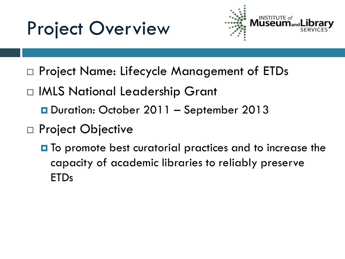### Project Overview



- □ Project Name: Lifecycle Management of ETDs
- □ IMLS National Leadership Grant
	- Duration: October 2011 September 2013
- □ Project Objective
	- **O** To promote best curatorial practices and to increase the capacity of academic libraries to reliably preserve ETDs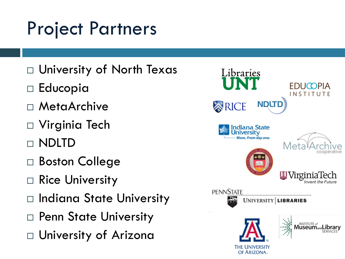## Project Partners

- University of North Texas
- □ Educopia
- MetaArchive
- Virginia Tech
- NDLTD
- Boston College
- □ Rice University
- □ Indiana State University
- □ Penn State University
- University of Arizona

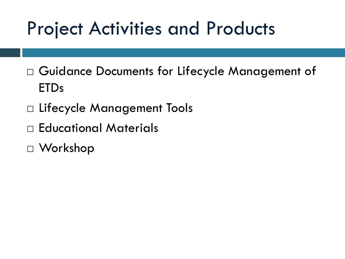### Project Activities and Products

- Guidance Documents for Lifecycle Management of ETDs
- Lifecycle Management Tools
- Educational Materials
- Workshop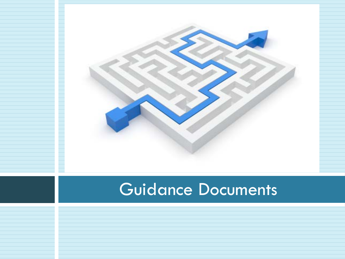

### Guidance Documents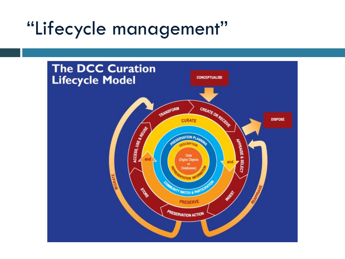### "Lifecycle management"

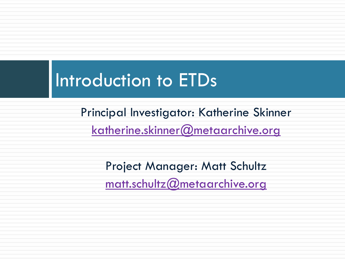### Introduction to ETDs

Principal Investigator: Katherine Skinner [katherine.skinner@metaarchive.org](mailto:katherine.skinner@metaarchive.org)

> Project Manager: Matt Schultz [matt.schultz@metaarchive.org](mailto:matt.schultz@metaarchive.org)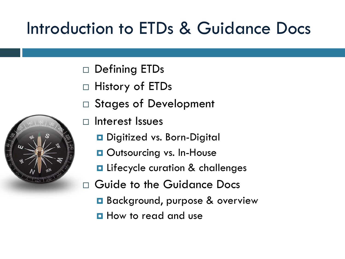### Introduction to ETDs & Guidance Docs

- Defining ETDs
- □ History of ETDs
- Stages of Development
- □ Interest Issues
	- Digitized vs. Born-Digital
	- **Outsourcing vs. In-House**
	- **E** Lifecycle curation & challenges
- Guide to the Guidance Docs
	- Background, purpose & overview
	- **How to read and use**

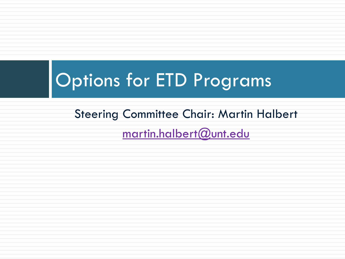# Options for ETD Programs

Steering Committee Chair: Martin Halbert [martin.halbert@unt.edu](mailto:martin.halbert@unt.edu)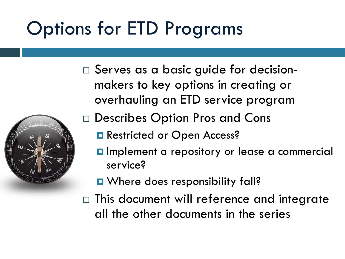# Options for ETD Programs

□ Serves as a basic guide for decisionmakers to key options in creating or overhauling an ETD service program



- Describes Option Pros and Cons
	- Restricted or Open Access?
	- **Implement a repository or lease a commercial** service?
	- **O** Where does responsibility fall?
- $\Box$  This document will reference and integrate all the other documents in the series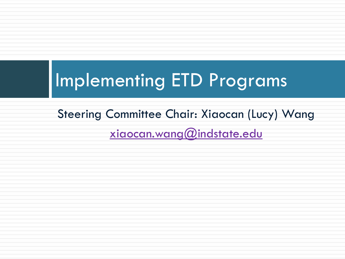# Implementing ETD Programs

Steering Committee Chair: Xiaocan (Lucy) Wang [xiaocan.wang@indstate.edu](mailto:xiaocan.wang@indstate.edu)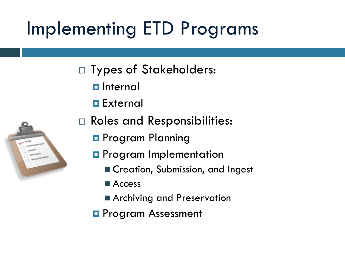# Implementing ETD Programs

- □ Types of Stakeholders:
	- $\blacksquare$  Internal
	- **External**
- 
- Roles and Responsibilities:
	- **Program Planning**
	- **D** Program Implementation
		- **Execution, Submission, and Ingest**
		- Access
		- **Archiving and Preservation**
	- **Program Assessment**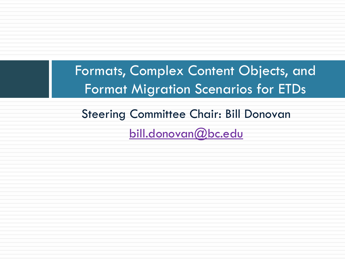Formats, Complex Content Objects, and Format Migration Scenarios for ETDs

Steering Committee Chair: Bill Donovan [bill.donovan@bc.edu](mailto:bill.donovan@bc.edu)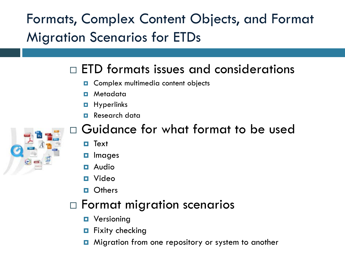Formats, Complex Content Objects, and Format Migration Scenarios for ETDs

#### $\Box$  ETD formats issues and considerations

- **D** Complex multimedia content objects
- Metadata
- $\blacksquare$  Hyperlinks
- **Research data**



#### Guidance for what format to be used

- Text
- $\Box$  Images
- Audio
- Video
- **D** Others

#### Format migration scenarios

- **D** Versioning
- $\blacksquare$  Fixity checking
- **D** Migration from one repository or system to another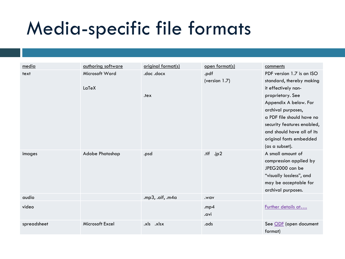### Media-specific file formats

| media       | authoring software | original format(s)  | open format(s) | comments                   |
|-------------|--------------------|---------------------|----------------|----------------------------|
| text        | Microsoft Word     | .doc.docx           | .pdf           | PDF version 1.7 is an ISO  |
|             |                    |                     | (version 1.7)  | standard, thereby making   |
|             | LaTeX              |                     |                | it effectively non-        |
|             |                    | .tex                |                | proprietary. See           |
|             |                    |                     |                | Appendix A below. For      |
|             |                    |                     |                | archival purposes,         |
|             |                    |                     |                | a PDF file should have no  |
|             |                    |                     |                | security features enabled, |
|             |                    |                     |                | and should have all of its |
|             |                    |                     |                | original fonts embedded    |
|             |                    |                     |                | (as a subset).             |
| images      | Adobe Photoshop    | .psd                | .tif .jp2      | A small amount of          |
|             |                    |                     |                | compression applied by     |
|             |                    |                     |                | JPEG2000 can be            |
|             |                    |                     |                | "visually lossless", and   |
|             |                    |                     |                | may be acceptable for      |
|             |                    |                     |                | archival purposes.         |
| audio       |                    | .mp3, .aif, .m4 $a$ | .wav           |                            |
| video       |                    |                     | mp4            | Further details at         |
|             |                    |                     | .avi           |                            |
| spreadsheet | Microsoft Excel    | .xls .xlsx          | .ods           | See ODF (open document     |
|             |                    |                     |                | format)                    |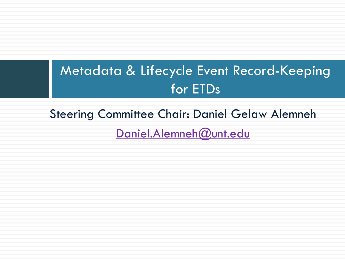### Metadata & Lifecycle Event Record-Keeping for ETDs

Steering Committee Chair: Daniel Gelaw Alemneh

Daniel.Alemneh@unt.edu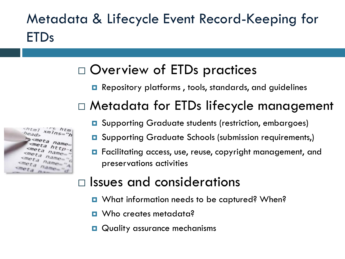### Metadata & Lifecycle Event Record-Keeping for ETDs

### Overview of ETDs practices

**□** Repository platforms, tools, standards, and guidelines

#### Metadata for ETDs lifecycle management

- **□** Supporting Graduate students (restriction, embargoes)
- **Q** Supporting Graduate Schools (submission requirements,)
- Facilitating access, use, reuse, copyright management, and preservations activities

#### $\Box$  Issues and considerations

- What information needs to be captured? When?
- Who creates metadata?
- **Quality assurance mechanisms**

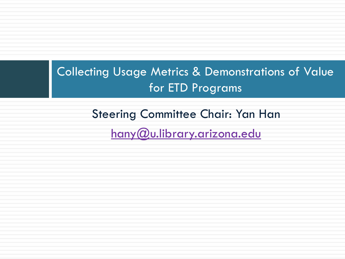#### Collecting Usage Metrics & Demonstrations of Value for ETD Programs

Steering Committee Chair: Yan Han

[hany@u.library.arizona.edu](mailto:hany@u.library.arizona.edu)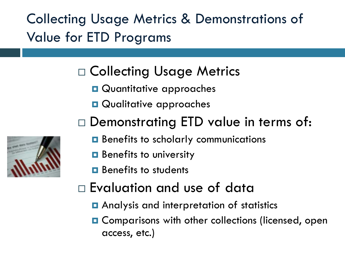Collecting Usage Metrics & Demonstrations of Value for ETD Programs

### Collecting Usage Metrics

- **Quantitative approaches**
- **Qualitative approaches**
- □ Demonstrating ETD value in terms of:
	- Benefits to scholarly communications
	- $\blacksquare$  Benefits to university
	- **B** Benefits to students
- Evaluation and use of data
	- **Q** Analysis and interpretation of statistics
	- **O** Comparisons with other collections (licensed, open access, etc.)

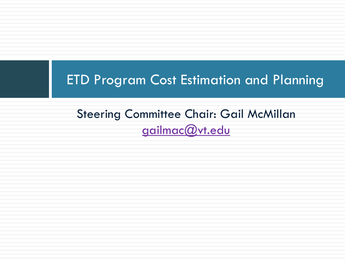#### ETD Program Cost Estimation and Planning

#### Steering Committee Chair: Gail McMillan [gailmac@vt.edu](mailto:gailmac@vt.edu)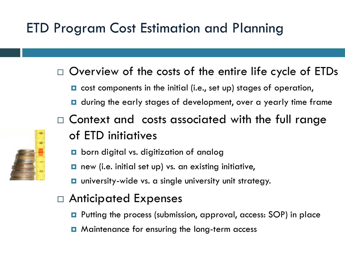### ETD Program Cost Estimation and Planning

- $\Box$  Overview of the costs of the entire life cycle of ETDs
	- **□** cost components in the initial (i.e., set up) stages of operation,
	- **D** during the early stages of development, over a yearly time frame
- $\Box$  Context and costs associated with the full range of ETD initiatives
	- born digital vs. digitization of analog
	- **□** new (i.e. initial set up) vs. an existing initiative,
	- **u** university-wide vs. a single university unit strategy.
- Anticipated Expenses
	- Putting the process (submission, approval, access: SOP) in place
	- **□** Maintenance for ensuring the long-term access

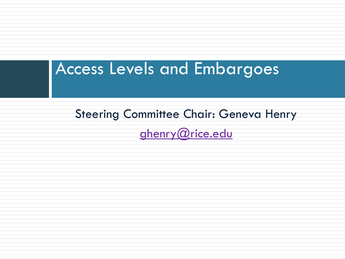### Access Levels and Embargoes

Steering Committee Chair: Geneva Henry [ghenry@rice.edu](mailto:ghenry@rice.edu)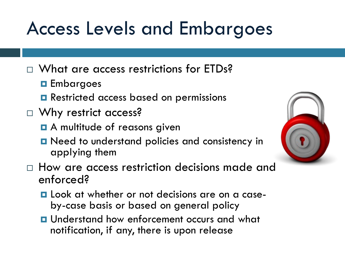### Access Levels and Embargoes

- □ What are access restrictions for ETDs?
	- **Embargoes**
	- **Restricted access based on permissions**
- □ Why restrict access?
	- **B** A multitude of reasons given
	- **n** Need to understand policies and consistency in applying them
- $\Box$  How are access restriction decisions made and enforced?
	- **Look at whether or not decisions are on a case-** by-case basis or based on general policy
	- **u** Understand how enforcement occurs and what notification, if any, there is upon release

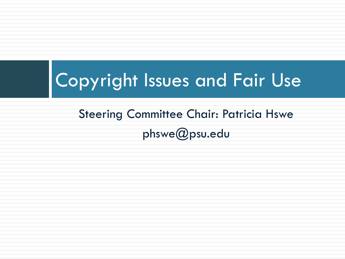### Copyright Issues and Fair Use

### Steering Committee Chair: Patricia Hswe phswe@psu.edu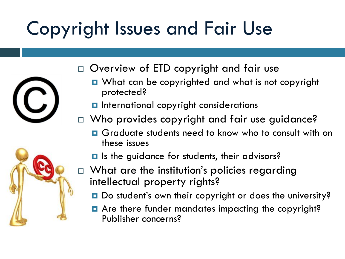# Copyright Issues and Fair Use





- □ Overview of ETD copyright and fair use
	- **D** What can be copyrighted and what is not copyright protected?
	- **D** International copyright considerations
- □ Who provides copyright and fair use guidance?
	- **D** Graduate students need to know who to consult with on these issues
	- **I** Is the guidance for students, their advisors?
- $\Box$  What are the institution's policies regarding intellectual property rights?
	- Do student's own their copyright or does the university?
	- **E** Are there funder mandates impacting the copyright? Publisher concerns?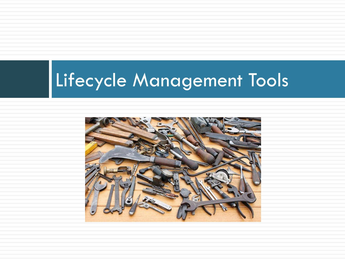# Lifecycle Management Tools

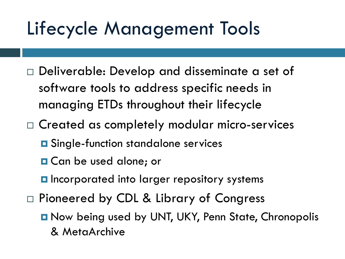### Lifecycle Management Tools

- Deliverable: Develop and disseminate a set of software tools to address specific needs in managing ETDs throughout their lifecycle
- Created as completely modular micro-services
	- **O** Single-function standalone services
	- **□ Can be used alone; or**
	- **Incorporated into larger repository systems**
- □ Pioneered by CDL & Library of Congress
	- **D** Now being used by UNT, UKY, Penn State, Chronopolis & MetaArchive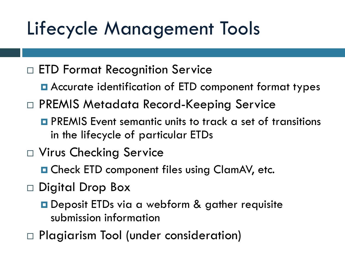# Lifecycle Management Tools

- □ ETD Format Recognition Service
	- Accurate identification of ETD component format types
- PREMIS Metadata Record-Keeping Service
	- **O** PREMIS Event semantic units to track a set of transitions in the lifecycle of particular ETDs
- □ Virus Checking Service
	- **O** Check ETD component files using ClamAV, etc.
- $\Box$  Digital Drop Box
	- **□** Deposit ETDs via a webform & gather requisite submission information
- Plagiarism Tool (under consideration)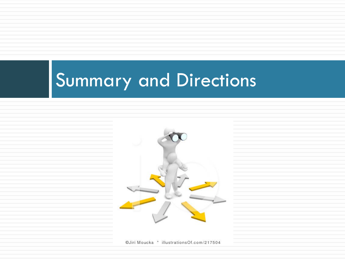# Summary and Directions



©Jiri Moucka \* illustrationsOf.com/217504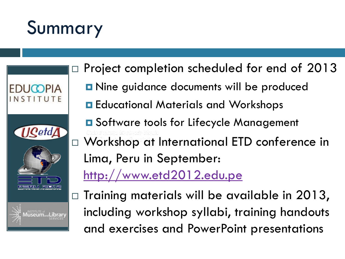# Summary



- $\Box$  Project completion scheduled for end of 2013
	- **D** Nine guidance documents will be produced
	- **E** Educational Materials and Workshops
	- **□** Software tools for Lifecycle Management
- Workshop at International ETD conference in Lima, Peru in September:

<http://www.etd2012.edu.pe>

 $\Box$  Training materials will be available in 2013, including workshop syllabi, training handouts and exercises and PowerPoint presentations